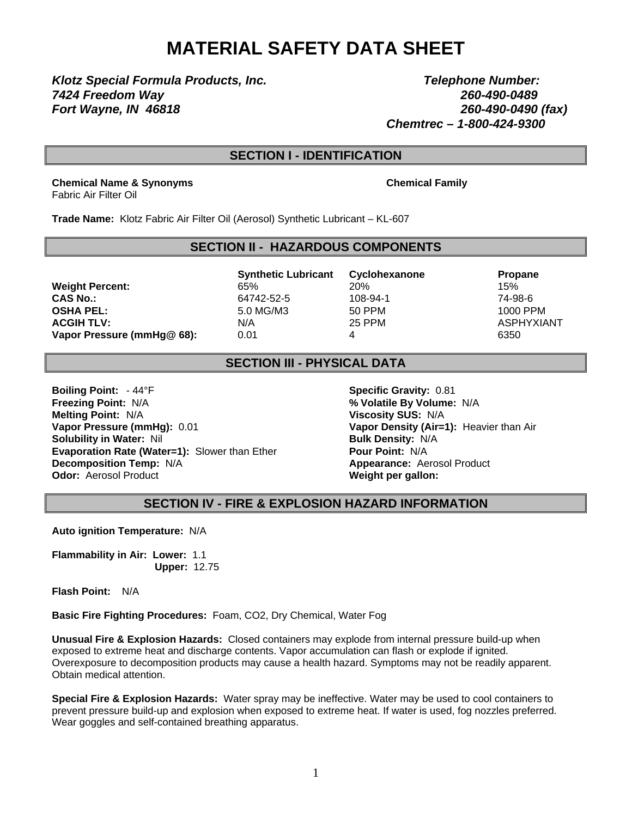# **MATERIAL SAFETY DATA SHEET**

*Klotz Special Formula Products, Inc. Telephone Number: 7424 Freedom Way 260-490-0489 Fort Wayne, IN 46818 260-490-0490 (fax)* 

 *Chemtrec – 1-800-424-9300*

## **SECTION I - IDENTIFICATION**

**Chemical Name & Synonyms Chemical Family** Fabric Air Filter Oil

**Trade Name:** Klotz Fabric Air Filter Oil (Aerosol) Synthetic Lubricant – KL-607

#### **SECTION II - HAZARDOUS COMPONENTS**

**Weight Percent:**  $65\%$  20% 20% 15% **CAS No.:** 64742-52-5 108-94-1 74-98-6 **OSHA PEL:** 5.0 MG/M3 50 PPM 1000 PPM **ACGIH TLV:** N/A N/A 25 PPM ASPHYXIANT **Vapor Pressure (mmHg@ 68):** 0.01 4 6350

**Synthetic Lubricant Cyclohexanone Propane** 

### **SECTION III - PHYSICAL DATA**

**Boiling Point:**  $-44^{\circ}$ F **Specific Gravity:** 0.81 **Freezing Point:** N/A **% Volatile By Volume:** N/A **Melting Point:** N/A **Viscosity SUS:** N/A **Vapor Pressure (mmHg):** 0.01 **Vapor Density (Air=1):** Heavier than Air **Solubility in Water:** Nil **Bulk Density: N/A Evaporation Rate (Water=1):** Slower than Ether **Pour Point:** N/A **Decomposition Temp:** N/A **Alternative Structure 2. Appearance:** Aerosol Product **Odor:** Aerosol Product **Weight per gallon: Weight per gallon:** 

**SECTION IV - FIRE & EXPLOSION HAZARD INFORMATION**

**Auto ignition Temperature:** N/A

**Flammability in Air: Lower:** 1.1 **Upper:** 12.75

**Flash Point:** N/A

**Basic Fire Fighting Procedures:** Foam, CO2, Dry Chemical, Water Fog

**Unusual Fire & Explosion Hazards:** Closed containers may explode from internal pressure build-up when exposed to extreme heat and discharge contents. Vapor accumulation can flash or explode if ignited. Overexposure to decomposition products may cause a health hazard. Symptoms may not be readily apparent. Obtain medical attention.

**Special Fire & Explosion Hazards:** Water spray may be ineffective. Water may be used to cool containers to prevent pressure build-up and explosion when exposed to extreme heat. If water is used, fog nozzles preferred. Wear goggles and self-contained breathing apparatus.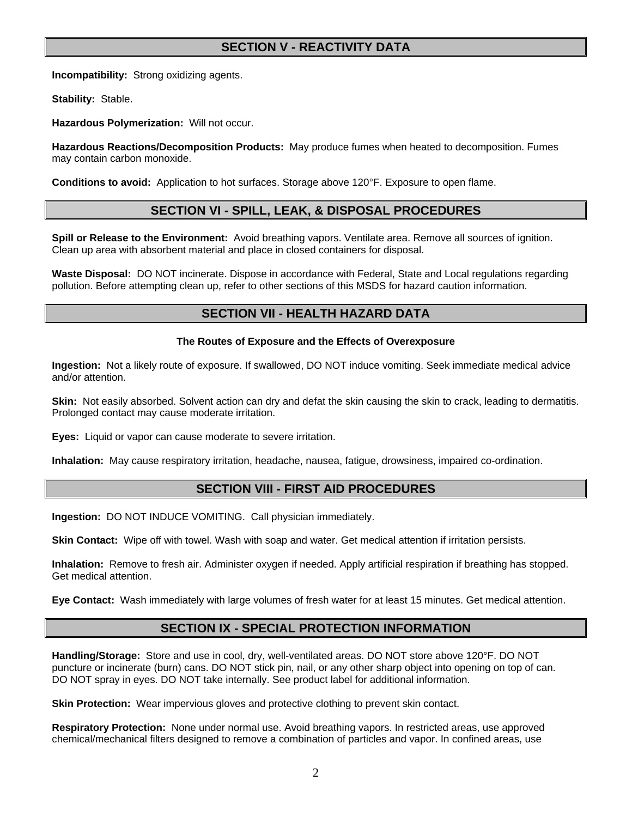# **SECTION V - REACTIVITY DATA**

**Incompatibility:** Strong oxidizing agents.

**Stability:** Stable.

**Hazardous Polymerization:** Will not occur.

**Hazardous Reactions/Decomposition Products:** May produce fumes when heated to decomposition. Fumes may contain carbon monoxide.

**Conditions to avoid:** Application to hot surfaces. Storage above 120°F. Exposure to open flame.

#### **SECTION VI - SPILL, LEAK, & DISPOSAL PROCEDURES**

**Spill or Release to the Environment:** Avoid breathing vapors. Ventilate area. Remove all sources of ignition. Clean up area with absorbent material and place in closed containers for disposal.

**Waste Disposal:** DO NOT incinerate. Dispose in accordance with Federal, State and Local regulations regarding pollution. Before attempting clean up, refer to other sections of this MSDS for hazard caution information.

### **SECTION VII - HEALTH HAZARD DATA**

#### **The Routes of Exposure and the Effects of Overexposure**

**Ingestion:** Not a likely route of exposure. If swallowed, DO NOT induce vomiting. Seek immediate medical advice and/or attention.

**Skin:** Not easily absorbed. Solvent action can dry and defat the skin causing the skin to crack, leading to dermatitis. Prolonged contact may cause moderate irritation.

**Eyes:** Liquid or vapor can cause moderate to severe irritation.

**Inhalation:** May cause respiratory irritation, headache, nausea, fatigue, drowsiness, impaired co-ordination.

#### **SECTION VIII - FIRST AID PROCEDURES**

**Ingestion:** DO NOT INDUCE VOMITING. Call physician immediately.

**Skin Contact:** Wipe off with towel. Wash with soap and water. Get medical attention if irritation persists.

**Inhalation:** Remove to fresh air. Administer oxygen if needed. Apply artificial respiration if breathing has stopped. Get medical attention.

**Eye Contact:** Wash immediately with large volumes of fresh water for at least 15 minutes. Get medical attention.

### **SECTION IX - SPECIAL PROTECTION INFORMATION**

**Handling/Storage:** Store and use in cool, dry, well-ventilated areas. DO NOT store above 120°F. DO NOT puncture or incinerate (burn) cans. DO NOT stick pin, nail, or any other sharp object into opening on top of can. DO NOT spray in eyes. DO NOT take internally. See product label for additional information.

**Skin Protection:** Wear impervious gloves and protective clothing to prevent skin contact.

**Respiratory Protection:** None under normal use. Avoid breathing vapors. In restricted areas, use approved chemical/mechanical filters designed to remove a combination of particles and vapor. In confined areas, use